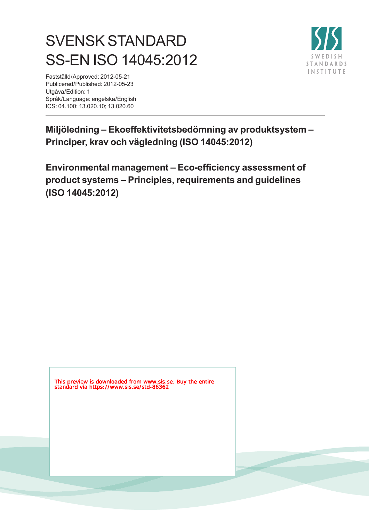# SVENSK STANDARD SS-EN ISO 14045:2012



Fastställd/Approved: 2012-05-21 Publicerad/Published: 2012-05-23 Utgåva/Edition: 1 Språk/Language: engelska/English ICS: 04.100; 13.020.10; 13.020.60

**Miljöledning – Ekoeffektivitetsbedömning av produktsystem – Principer, krav och vägledning (ISO 14045:2012)**

**Environmental management – Eco-efficiency assessment of product systems – Principles, requirements and guidelines (ISO 14045:2012)**

This preview is downloaded from www.sis.se. Buy the entire standard via https://www.sis.se/std-86362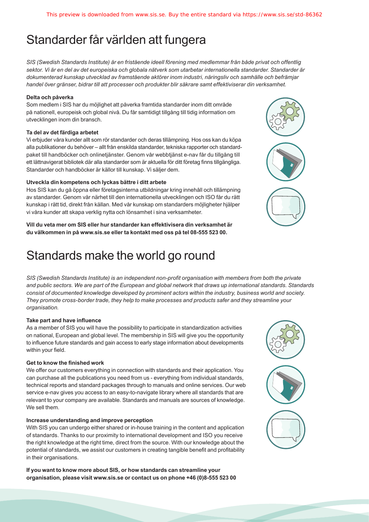## Standarder får världen att fungera

*SIS (Swedish Standards Institute) är en fristående ideell förening med medlemmar från både privat och offentlig sektor. Vi är en del av det europeiska och globala nätverk som utarbetar internationella standarder. Standarder är dokumenterad kunskap utvecklad av framstående aktörer inom industri, näringsliv och samhälle och befrämjar handel över gränser, bidrar till att processer och produkter blir säkrare samt effektiviserar din verksamhet.* 

#### **Delta och påverka**

Som medlem i SIS har du möjlighet att påverka framtida standarder inom ditt område på nationell, europeisk och global nivå. Du får samtidigt tillgång till tidig information om utvecklingen inom din bransch.

#### **Ta del av det färdiga arbetet**

Vi erbjuder våra kunder allt som rör standarder och deras tillämpning. Hos oss kan du köpa alla publikationer du behöver – allt från enskilda standarder, tekniska rapporter och standardpaket till handböcker och onlinetjänster. Genom vår webbtjänst e-nav får du tillgång till ett lättnavigerat bibliotek där alla standarder som är aktuella för ditt företag finns tillgängliga. Standarder och handböcker är källor till kunskap. Vi säljer dem.

#### **Utveckla din kompetens och lyckas bättre i ditt arbete**

Hos SIS kan du gå öppna eller företagsinterna utbildningar kring innehåll och tillämpning av standarder. Genom vår närhet till den internationella utvecklingen och ISO får du rätt kunskap i rätt tid, direkt från källan. Med vår kunskap om standarders möjligheter hjälper vi våra kunder att skapa verklig nytta och lönsamhet i sina verksamheter.

**Vill du veta mer om SIS eller hur standarder kan effektivisera din verksamhet är du välkommen in på www.sis.se eller ta kontakt med oss på tel 08-555 523 00.**

## Standards make the world go round

*SIS (Swedish Standards Institute) is an independent non-profit organisation with members from both the private and public sectors. We are part of the European and global network that draws up international standards. Standards consist of documented knowledge developed by prominent actors within the industry, business world and society. They promote cross-border trade, they help to make processes and products safer and they streamline your organisation.*

#### **Take part and have influence**

As a member of SIS you will have the possibility to participate in standardization activities on national, European and global level. The membership in SIS will give you the opportunity to influence future standards and gain access to early stage information about developments within your field.

#### **Get to know the finished work**

We offer our customers everything in connection with standards and their application. You can purchase all the publications you need from us - everything from individual standards, technical reports and standard packages through to manuals and online services. Our web service e-nav gives you access to an easy-to-navigate library where all standards that are relevant to your company are available. Standards and manuals are sources of knowledge. We sell them.

#### **Increase understanding and improve perception**

With SIS you can undergo either shared or in-house training in the content and application of standards. Thanks to our proximity to international development and ISO you receive the right knowledge at the right time, direct from the source. With our knowledge about the potential of standards, we assist our customers in creating tangible benefit and profitability in their organisations.

**If you want to know more about SIS, or how standards can streamline your organisation, please visit www.sis.se or contact us on phone +46 (0)8-555 523 00**



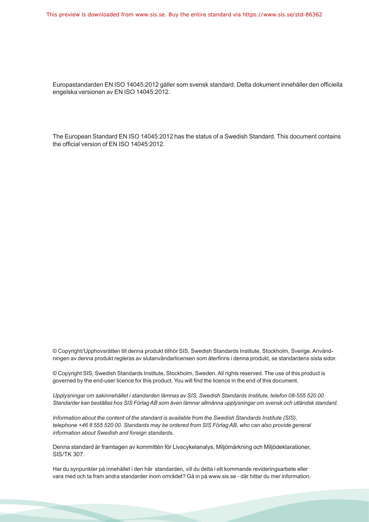Europastandarden EN ISO 14045:2012 gäller som svensk standard. Detta dokument innehåller den officiella engelska versionen av EN ISO 14045:2012.

The European Standard EN ISO 14045:2012 has the status of a Swedish Standard. This document contains the official version of EN ISO 14045:2012.

© Copyright/Upphovsrätten till denna produkt tillhör SIS, Swedish Standards Institute, Stockholm, Sverige. Användningen av denna produkt regleras av slutanvändarlicensen som återfinns i denna produkt, se standardens sista sidor.

© Copyright SIS, Swedish Standards Institute, Stockholm, Sweden. All rights reserved. The use of this product is governed by the end-user licence for this product. You will find the licence in the end of this document.

*Upplysningar om sakinnehållet i standarden lämnas av SIS, Swedish Standards Institute, telefon 08-555 520 00. Standarder kan beställas hos SIS Förlag AB som även lämnar allmänna upplysningar om svensk och utländsk standard.*

*Information about the content of the standard is available from the Swedish Standards Institute (SIS), telephone +46 8 555 520 00. Standards may be ordered from SIS Förlag AB, who can also provide general information about Swedish and foreign standards.*

Denna standard är framtagen av kommittén för Livscykelanalys, Miljömärkning och Miljödeklarationer, SIS/TK 307.

Har du synpunkter på innehållet i den här standarden, vill du delta i ett kommande revideringsarbete eller vara med och ta fram andra standarder inom området? Gå in på www.sis.se - där hittar du mer information.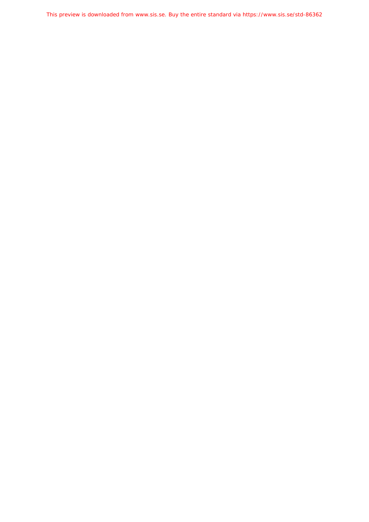This preview is downloaded from www.sis.se. Buy the entire standard via https://www.sis.se/std-86362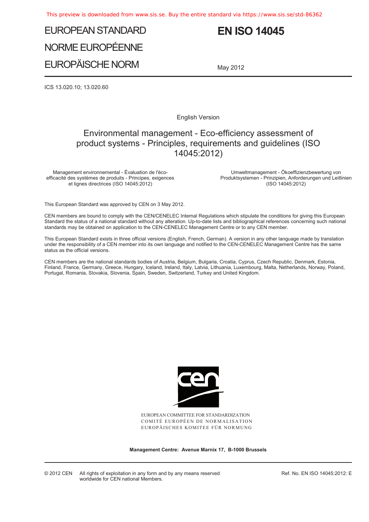## EUROPEAN STANDARD NORME EUROPÉENNE EUROPÄISCHE NORM

## **EN ISO 14045**

May 2012

ICS 13.020.10; 13.020.60

English Version

## Environmental management - Eco-efficiency assessment of product systems - Principles, requirements and guidelines (ISO 14045:2012)

Management environnemental - Évaluation de l'écoefficacité des systèmes de produits - Principes, exigences et lignes directrices (ISO 14045:2012)

Umweltmanagement - Ökoeffizienzbewertung von Produktsystemen - Prinzipien, Anforderungen und Leitlinien (ISO 14045:2012)

This European Standard was approved by CEN on 3 May 2012.

CEN members are bound to comply with the CEN/CENELEC Internal Regulations which stipulate the conditions for giving this European Standard the status of a national standard without any alteration. Up-to-date lists and bibliographical references concerning such national standards may be obtained on application to the CEN-CENELEC Management Centre or to any CEN member.

This European Standard exists in three official versions (English, French, German). A version in any other language made by translation under the responsibility of a CEN member into its own language and notified to the CEN-CENELEC Management Centre has the same status as the official versions.

CEN members are the national standards bodies of Austria, Belgium, Bulgaria, Croatia, Cyprus, Czech Republic, Denmark, Estonia, Finland, France, Germany, Greece, Hungary, Iceland, Ireland, Italy, Latvia, Lithuania, Luxembourg, Malta, Netherlands, Norway, Poland, Portugal, Romania, Slovakia, Slovenia, Spain, Sweden, Switzerland, Turkey and United Kingdom.



EUROPEAN COMMITTEE FOR STANDARDIZATION COMITÉ EUROPÉEN DE NORMALISATION EUROPÄISCHES KOMITEE FÜR NORMUNG

**Management Centre: Avenue Marnix 17, B-1000 Brussels** 

Ref. No. EN ISO 14045:2012: E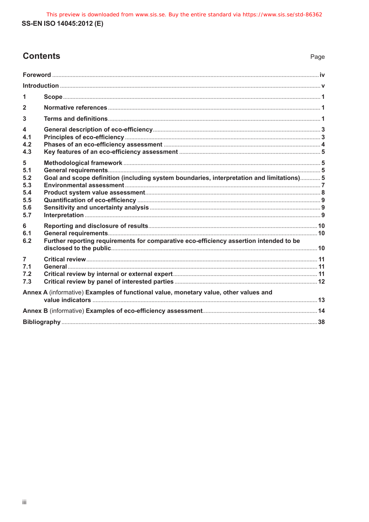## **Contents**

| 1                                   |                                                                                           |  |
|-------------------------------------|-------------------------------------------------------------------------------------------|--|
| $\mathbf{2}$                        |                                                                                           |  |
| 3                                   |                                                                                           |  |
| 4<br>4.1<br>4.2<br>4.3              |                                                                                           |  |
| 5<br>5.1<br>5.2                     |                                                                                           |  |
| 5.3<br>5.4<br>5.5<br>5.6<br>5.7     | Goal and scope definition (including system boundaries, interpretation and limitations) 5 |  |
| 6<br>6.1<br>6.2                     | Further reporting requirements for comparative eco-efficiency assertion intended to be    |  |
| $\overline{7}$<br>7.1<br>7.2<br>7.3 |                                                                                           |  |
|                                     | Annex A (informative) Examples of functional value, monetary value, other values and      |  |
|                                     |                                                                                           |  |
|                                     |                                                                                           |  |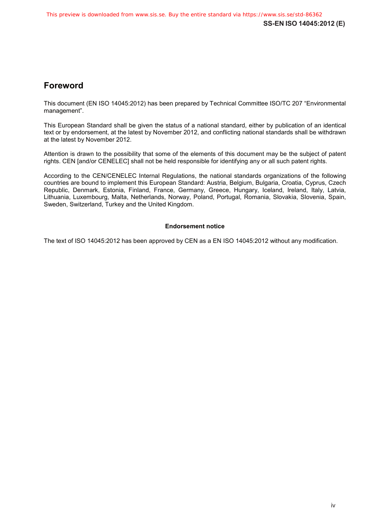### **Foreword**

This document (EN ISO 14045:2012) has been prepared by Technical Committee ISO/TC 207 "Environmental management".

This European Standard shall be given the status of a national standard, either by publication of an identical text or by endorsement, at the latest by November 2012, and conflicting national standards shall be withdrawn at the latest by November 2012.

Attention is drawn to the possibility that some of the elements of this document may be the subject of patent rights. CEN [and/or CENELEC] shall not be held responsible for identifying any or all such patent rights.

According to the CEN/CENELEC Internal Regulations, the national standards organizations of the following countries are bound to implement this European Standard: Austria, Belgium, Bulgaria, Croatia, Cyprus, Czech Republic, Denmark, Estonia, Finland, France, Germany, Greece, Hungary, Iceland, Ireland, Italy, Latvia, Lithuania, Luxembourg, Malta, Netherlands, Norway, Poland, Portugal, Romania, Slovakia, Slovenia, Spain, Sweden, Switzerland, Turkey and the United Kingdom.

#### **Endorsement notice**

The text of ISO 14045:2012 has been approved by CEN as a EN ISO 14045:2012 without any modification.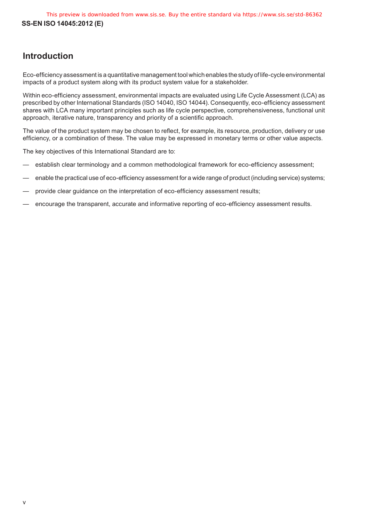## **Introduction**

Eco-efficiency assessment is a quantitative management tool which enables the study of life-cycle environmental impacts of a product system along with its product system value for a stakeholder.

Within eco-efficiency assessment, environmental impacts are evaluated using Life Cycle Assessment (LCA) as prescribed by other International Standards (ISO 14040, ISO 14044). Consequently, eco-efficiency assessment shares with LCA many important principles such as life cycle perspective, comprehensiveness, functional unit approach, iterative nature, transparency and priority of a scientific approach.

The value of the product system may be chosen to reflect, for example, its resource, production, delivery or use efficiency, or a combination of these. The value may be expressed in monetary terms or other value aspects.

The key objectives of this International Standard are to:

- establish clear terminology and a common methodological framework for eco-efficiency assessment;
- enable the practical use of eco-efficiency assessment for a wide range of product (including service) systems;
- provide clear guidance on the interpretation of eco-efficiency assessment results;
- encourage the transparent, accurate and informative reporting of eco-efficiency assessment results.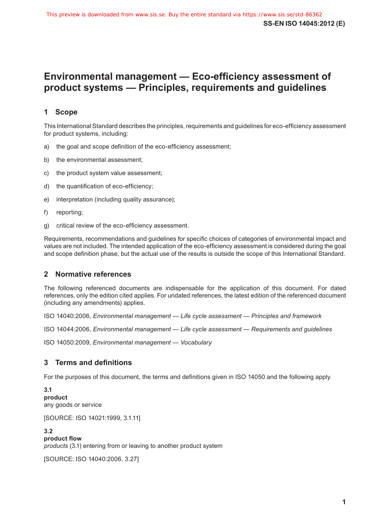## **Environmental management — Eco-efficiency assessment of product systems — Principles, requirements and guidelines**

### **1 Scope**

This International Standard describes the principles, requirements and guidelines for eco-efficiency assessment for product systems, including:

- a) the goal and scope definition of the eco-efficiency assessment;
- b) the environmental assessment;
- c) the product system value assessment;
- d) the quantification of eco-efficiency;
- e) interpretation (including quality assurance);
- f) reporting;
- g) critical review of the eco-efficiency assessment.

Requirements, recommendations and guidelines for specific choices of categories of environmental impact and values are not included. The intended application of the eco-efficiency assessment is considered during the goal and scope definition phase, but the actual use of the results is outside the scope of this International Standard.

#### **2 Normative references**

The following referenced documents are indispensable for the application of this document. For dated references, only the edition cited applies. For undated references, the latest edition of the referenced document (including any amendments) applies.

ISO 14040:2006, *Environmental management — Life cycle assessment — Principles and framework*

ISO 14044:2006, *Environmental management — Life cycle assessment — Requirements and guidelines*

ISO 14050:2009, *Environmental management* — *Vocabulary*

### **3 Terms and definitions**

For the purposes of this document, the terms and definitions given in ISO 14050 and the following apply.

**3.1 product** any goods or service

[SOURCE: ISO 14021:1999, 3.1.11]

#### **3.2**

**product flow** *products* (3.1) entering from or leaving to another product system

[SOURCE: ISO 14040:2006, 3.27]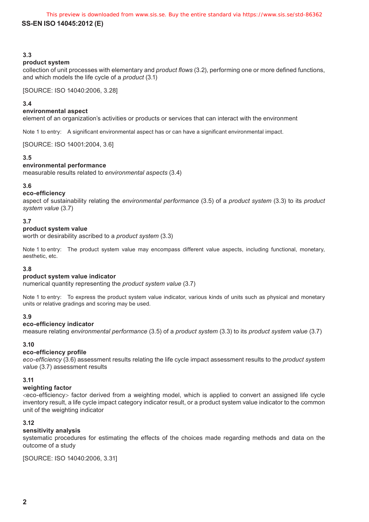#### **3.3**

#### **product system**

collection of unit processes with elementary and *product flows* (3.2), performing one or more defined functions, and which models the life cycle of a *product* (3.1)

[SOURCE: ISO 14040:2006, 3.28]

#### **3.4**

#### **environmental aspect**

element of an organization's activities or products or services that can interact with the environment

Note 1 to entry: A significant environmental aspect has or can have a significant environmental impact.

[SOURCE: ISO 14001:2004, 3.6]

#### **3.5**

#### **environmental performance**

measurable results related to *environmental aspects* (3.4)

#### **3.6**

#### **eco-efficiency**

aspect of sustainability relating the *environmental performance* (3.5) of a *product system* (3.3) to its *product system value* (3.7)

#### **3.7**

#### **product system value**

worth or desirability ascribed to a *product system* (3.3)

Note 1 to entry: The product system value may encompass different value aspects, including functional, monetary, aesthetic, etc.

#### **3.8**

#### **product system value indicator**

numerical quantity representing the *product system value* (3.7)

Note 1 to entry: To express the product system value indicator, various kinds of units such as physical and monetary units or relative gradings and scoring may be used.

#### **3.9**

#### **eco-efficiency indicator**

measure relating *environmental performance* (3.5) of a *product system* (3.3) to its *product system value* (3.7)

#### **3.10**

#### **eco-efficiency profile**

*eco-efficiency* (3.6) assessment results relating the life cycle impact assessment results to the *product system value* (3.7) assessment results

#### **3.11**

#### **weighting factor**

<eco-efficiency> factor derived from a weighting model, which is applied to convert an assigned life cycle inventory result, a life cycle impact category indicator result, or a product system value indicator to the common unit of the weighting indicator

#### **3.12**

#### **sensitivity analysis**

systematic procedures for estimating the effects of the choices made regarding methods and data on the outcome of a study

[SOURCE: ISO 14040:2006, 3.31]